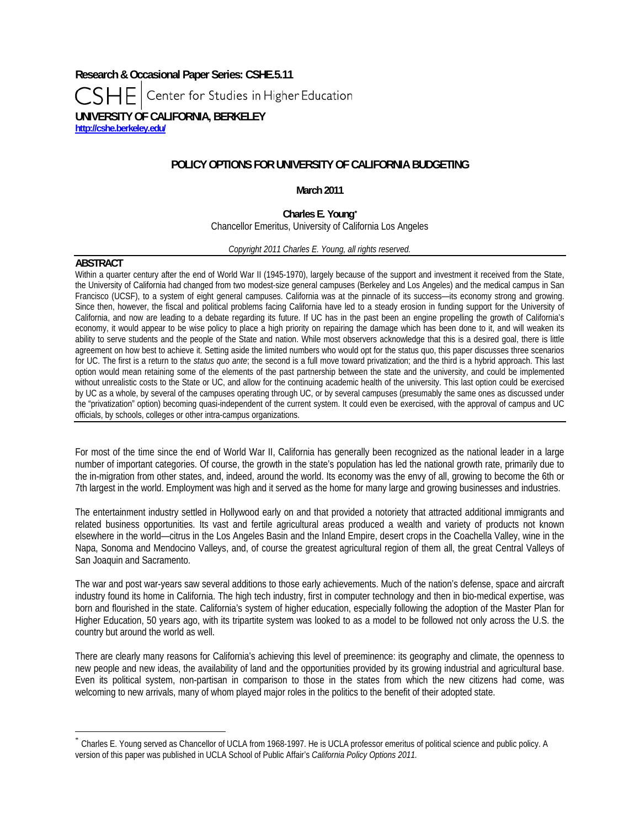**Research & Occasional Paper Series: CSHE.5.11**  Center for Studies in Higher Education **UNIVERSITY OF CALIFORNIA, BERKELEY <http://cshe.berkeley.edu/>**

# **POLICY OPTIONS FOR UNIVERSITY OF CALIFORNIA BUDGETING**

**March 2011** 

**Charles E. Young[\\*](#page-0-0)**

Chancellor Emeritus, University of California Los Angeles

*Copyright 2011 Charles E. Young, all rights reserved.* 

### **ABSTRACT**

 $\overline{a}$ 

Within a quarter century after the end of World War II (1945-1970), largely because of the support and investment it received from the State, the University of California had changed from two modest-size general campuses (Berkeley and Los Angeles) and the medical campus in San Francisco (UCSF), to a system of eight general campuses. California was at the pinnacle of its success—its economy strong and growing. Since then, however, the fiscal and political problems facing California have led to a steady erosion in funding support for the University of California, and now are leading to a debate regarding its future. If UC has in the past been an engine propelling the growth of California's economy, it would appear to be wise policy to place a high priority on repairing the damage which has been done to it, and will weaken its ability to serve students and the people of the State and nation. While most observers acknowledge that this is a desired goal, there is little agreement on how best to achieve it. Setting aside the limited numbers who would opt for the status quo, this paper discusses three scenarios for UC. The first is a return to the *status quo ante*; the second is a full move toward privatization; and the third is a hybrid approach. This last option would mean retaining some of the elements of the past partnership between the state and the university, and could be implemented without unrealistic costs to the State or UC, and allow for the continuing academic health of the university. This last option could be exercised by UC as a whole, by several of the campuses operating through UC, or by several campuses (presumably the same ones as discussed under the "privatization" option) becoming quasi-independent of the current system. It could even be exercised, with the approval of campus and UC officials, by schools, colleges or other intra-campus organizations.

For most of the time since the end of World War II, California has generally been recognized as the national leader in a large number of important categories. Of course, the growth in the state's population has led the national growth rate, primarily due to the in-migration from other states, and, indeed, around the world. Its economy was the envy of all, growing to become the 6th or 7th largest in the world. Employment was high and it served as the home for many large and growing businesses and industries.

The entertainment industry settled in Hollywood early on and that provided a notoriety that attracted additional immigrants and related business opportunities. Its vast and fertile agricultural areas produced a wealth and variety of products not known elsewhere in the world—citrus in the Los Angeles Basin and the Inland Empire, desert crops in the Coachella Valley, wine in the Napa, Sonoma and Mendocino Valleys, and, of course the greatest agricultural region of them all, the great Central Valleys of San Joaquin and Sacramento.

The war and post war-years saw several additions to those early achievements. Much of the nation's defense, space and aircraft industry found its home in California. The high tech industry, first in computer technology and then in bio-medical expertise, was born and flourished in the state. California's system of higher education, especially following the adoption of the Master Plan for Higher Education, 50 years ago, with its tripartite system was looked to as a model to be followed not only across the U.S. the country but around the world as well.

There are clearly many reasons for California's achieving this level of preeminence: its geography and climate, the openness to new people and new ideas, the availability of land and the opportunities provided by its growing industrial and agricultural base. Even its political system, non-partisan in comparison to those in the states from which the new citizens had come, was welcoming to new arrivals, many of whom played major roles in the politics to the benefit of their adopted state.

<span id="page-0-0"></span><sup>\*</sup> Charles E. Young served as Chancellor of UCLA from 1968-1997. He is UCLA professor emeritus of political science and public policy. A version of this paper was published in UCLA School of Public Affair's *California Policy Options 2011.*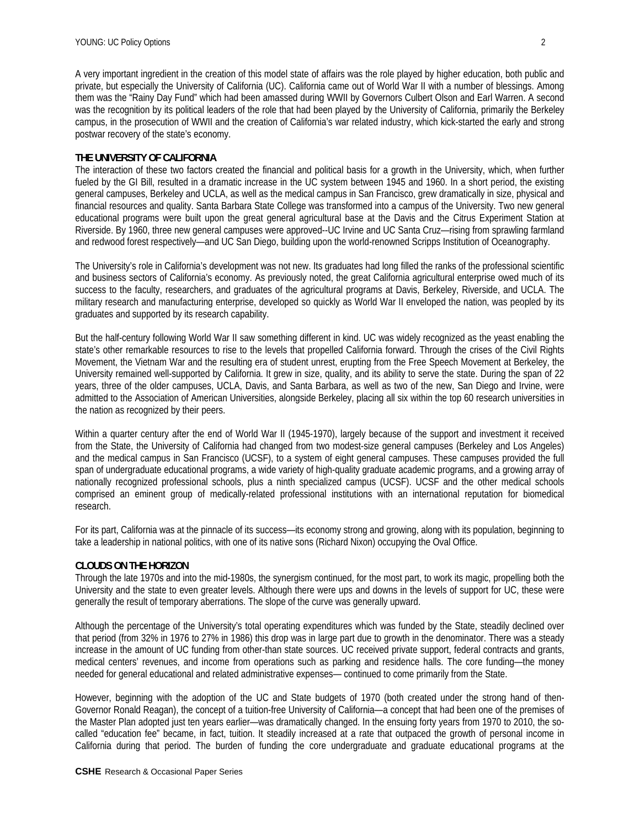A very important ingredient in the creation of this model state of affairs was the role played by higher education, both public and private, but especially the University of California (UC). California came out of World War II with a number of blessings. Among them was the "Rainy Day Fund" which had been amassed during WWII by Governors Culbert Olson and Earl Warren. A second was the recognition by its political leaders of the role that had been played by the University of California, primarily the Berkeley campus, in the prosecution of WWII and the creation of California's war related industry, which kick-started the early and strong postwar recovery of the state's economy.

# **THE UNIVERSITY OF CALIFORNIA**

The interaction of these two factors created the financial and political basis for a growth in the University, which, when further fueled by the GI Bill, resulted in a dramatic increase in the UC system between 1945 and 1960. In a short period, the existing general campuses, Berkeley and UCLA, as well as the medical campus in San Francisco, grew dramatically in size, physical and financial resources and quality. Santa Barbara State College was transformed into a campus of the University. Two new general educational programs were built upon the great general agricultural base at the Davis and the Citrus Experiment Station at Riverside. By 1960, three new general campuses were approved--UC Irvine and UC Santa Cruz—rising from sprawling farmland and redwood forest respectively—and UC San Diego, building upon the world-renowned Scripps Institution of Oceanography.

The University's role in California's development was not new. Its graduates had long filled the ranks of the professional scientific and business sectors of California's economy. As previously noted, the great California agricultural enterprise owed much of its success to the faculty, researchers, and graduates of the agricultural programs at Davis, Berkeley, Riverside, and UCLA. The military research and manufacturing enterprise, developed so quickly as World War II enveloped the nation, was peopled by its graduates and supported by its research capability.

But the half-century following World War II saw something different in kind. UC was widely recognized as the yeast enabling the state's other remarkable resources to rise to the levels that propelled California forward. Through the crises of the Civil Rights Movement, the Vietnam War and the resulting era of student unrest, erupting from the Free Speech Movement at Berkeley, the University remained well-supported by California. It grew in size, quality, and its ability to serve the state. During the span of 22 years, three of the older campuses, UCLA, Davis, and Santa Barbara, as well as two of the new, San Diego and Irvine, were admitted to the Association of American Universities, alongside Berkeley, placing all six within the top 60 research universities in the nation as recognized by their peers.

Within a quarter century after the end of World War II (1945-1970), largely because of the support and investment it received from the State, the University of California had changed from two modest-size general campuses (Berkeley and Los Angeles) and the medical campus in San Francisco (UCSF), to a system of eight general campuses. These campuses provided the full span of undergraduate educational programs, a wide variety of high-quality graduate academic programs, and a growing array of nationally recognized professional schools, plus a ninth specialized campus (UCSF). UCSF and the other medical schools comprised an eminent group of medically-related professional institutions with an international reputation for biomedical research.

For its part, California was at the pinnacle of its success—its economy strong and growing, along with its population, beginning to take a leadership in national politics, with one of its native sons (Richard Nixon) occupying the Oval Office.

# **CLOUDS ON THE HORIZON**

Through the late 1970s and into the mid-1980s, the synergism continued, for the most part, to work its magic, propelling both the University and the state to even greater levels. Although there were ups and downs in the levels of support for UC, these were generally the result of temporary aberrations. The slope of the curve was generally upward.

Although the percentage of the University's total operating expenditures which was funded by the State, steadily declined over that period (from 32% in 1976 to 27% in 1986) this drop was in large part due to growth in the denominator. There was a steady increase in the amount of UC funding from other-than state sources. UC received private support, federal contracts and grants, medical centers' revenues, and income from operations such as parking and residence halls. The core funding—the money needed for general educational and related administrative expenses— continued to come primarily from the State.

However, beginning with the adoption of the UC and State budgets of 1970 (both created under the strong hand of then-Governor Ronald Reagan), the concept of a tuition-free University of California—a concept that had been one of the premises of the Master Plan adopted just ten years earlier—was dramatically changed. In the ensuing forty years from 1970 to 2010, the socalled "education fee" became, in fact, tuition. It steadily increased at a rate that outpaced the growth of personal income in California during that period. The burden of funding the core undergraduate and graduate educational programs at the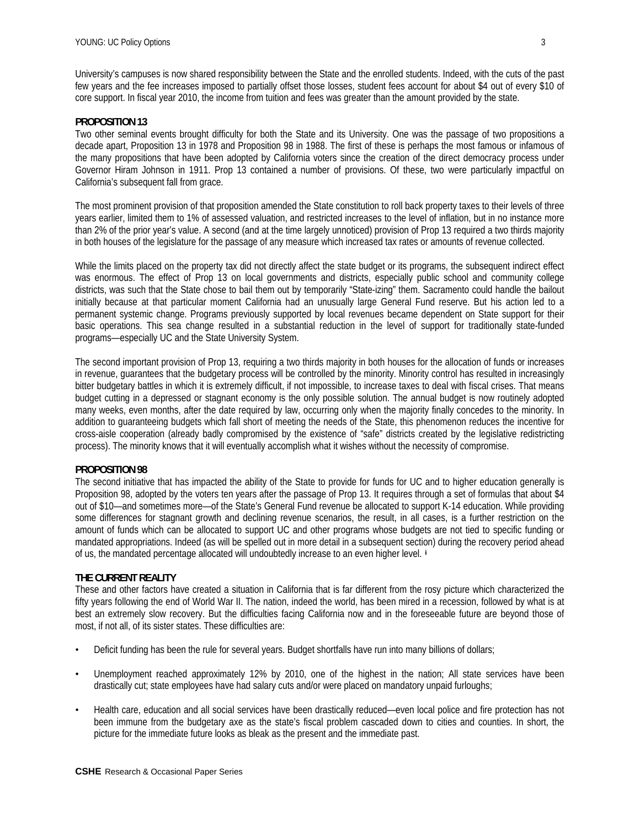University's campuses is now shared responsibility between the State and the enrolled students. Indeed, with the cuts of the past few years and the fee increases imposed to partially offset those losses, student fees account for about \$4 out of every \$10 of core support. In fiscal year 2010, the income from tuition and fees was greater than the amount provided by the state.

#### **PROPOSITION 13**

Two other seminal events brought difficulty for both the State and its University. One was the passage of two propositions a decade apart, Proposition 13 in 1978 and Proposition 98 in 1988. The first of these is perhaps the most famous or infamous of the many propositions that have been adopted by California voters since the creation of the direct democracy process under Governor Hiram Johnson in 1911. Prop 13 contained a number of provisions. Of these, two were particularly impactful on California's subsequent fall from grace.

The most prominent provision of that proposition amended the State constitution to roll back property taxes to their levels of three years earlier, limited them to 1% of assessed valuation, and restricted increases to the level of inflation, but in no instance more than 2% of the prior year's value. A second (and at the time largely unnoticed) provision of Prop 13 required a two thirds majority in both houses of the legislature for the passage of any measure which increased tax rates or amounts of revenue collected.

While the limits placed on the property tax did not directly affect the state budget or its programs, the subsequent indirect effect was enormous. The effect of Prop 13 on local governments and districts, especially public school and community college districts, was such that the State chose to bail them out by temporarily "State-izing" them. Sacramento could handle the bailout initially because at that particular moment California had an unusually large General Fund reserve. But his action led to a permanent systemic change. Programs previously supported by local revenues became dependent on State support for their basic operations. This sea change resulted in a substantial reduction in the level of support for traditionally state-funded programs—especially UC and the State University System.

The second important provision of Prop 13, requiring a two thirds majority in both houses for the allocation of funds or increases in revenue, guarantees that the budgetary process will be controlled by the minority. Minority control has resulted in increasingly bitter budgetary battles in which it is extremely difficult, if not impossible, to increase taxes to deal with fiscal crises. That means budget cutting in a depressed or stagnant economy is the only possible solution. The annual budget is now routinely adopted many weeks, even months, after the date required by law, occurring only when the majority finally concedes to the minority. In addition to guaranteeing budgets which fall short of meeting the needs of the State, this phenomenon reduces the incentive for cross-aisle cooperation (already badly compromised by the existence of "safe" districts created by the legislative redistricting process). The minority knows that it will eventually accomplish what it wishes without the necessity of compromise.

#### **PROPOSITION 98**

The second initiative that has impacted the ability of the State to provide for funds for UC and to higher education generally is Proposition 98, adopted by the voters ten years after the passage of Prop 13. It requires through a set of formulas that about \$4 out of \$10—and sometimes more—of the State's General Fund revenue be allocated to support K-14 education. While providing some differences for stagnant growth and declining revenue scenarios, the result, in all cases, is a further restriction on the amount of funds which can be allocated to support UC and other programs whose budgets are not tied to specific funding or mandated appropriations. Indeed (as will be spelled out in more detail in a subsequent section) during the recovery period ahead of us, the mandated percentage allocated will undoubtedly increase to an even higher level. **[i](#page-9-0)**

# **THE CURRENT REALITY**

These and other factors have created a situation in California that is far different from the rosy picture which characterized the fifty years following the end of World War II. The nation, indeed the world, has been mired in a recession, followed by what is at best an extremely slow recovery. But the difficulties facing California now and in the foreseeable future are beyond those of most, if not all, of its sister states. These difficulties are:

- Deficit funding has been the rule for several years. Budget shortfalls have run into many billions of dollars;
- Unemployment reached approximately 12% by 2010, one of the highest in the nation; All state services have been drastically cut; state employees have had salary cuts and/or were placed on mandatory unpaid furloughs;
- Health care, education and all social services have been drastically reduced—even local police and fire protection has not been immune from the budgetary axe as the state's fiscal problem cascaded down to cities and counties. In short, the picture for the immediate future looks as bleak as the present and the immediate past.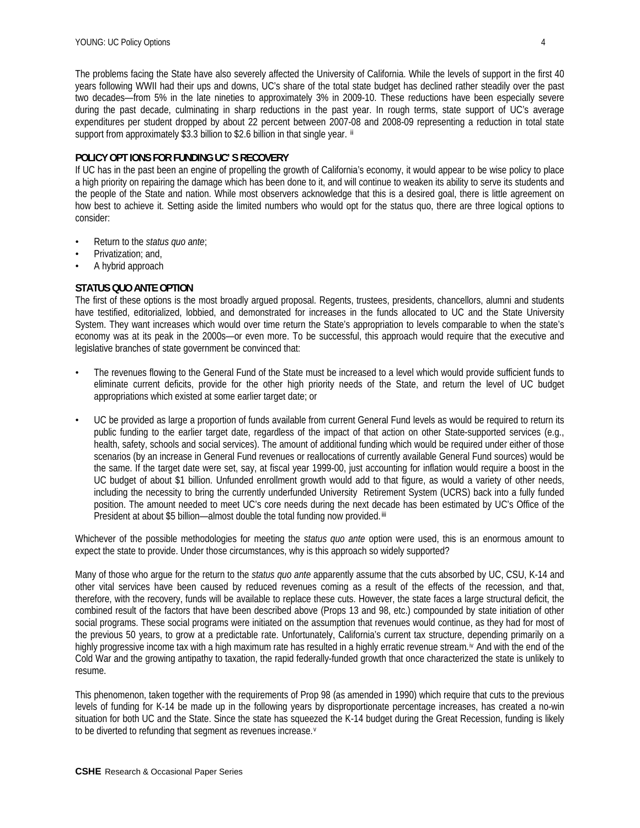The problems facing the State have also severely affected the University of California. While the levels of support in the first 40 years following WWII had their ups and downs, UC's share of the total state budget has declined rather steadily over the past two decades—from 5% in the late nineties to approximately 3% in 2009-10. These reductions have been especially severe during the past decade, culminating in sharp reductions in the past year. In rough terms, state support of UC's average expenditures per student dropped by about 22 percent between 2007-08 and 2008-09 representing a reduction in total state support from approximately \$3.3 billion to \$2.6 billion in that single year. **[ii](#page-9-1)**

### **POLICY OPT IONS FOR FUNDING UC' S RECOVERY**

If UC has in the past been an engine of propelling the growth of California's economy, it would appear to be wise policy to place a high priority on repairing the damage which has been done to it, and will continue to weaken its ability to serve its students and the people of the State and nation. While most observers acknowledge that this is a desired goal, there is little agreement on how best to achieve it. Setting aside the limited numbers who would opt for the status quo, there are three logical options to consider:

- Return to the *status quo ante*;
- Privatization; and,
- A hybrid approach

# **STATUS QUO ANTE OPTION**

The first of these options is the most broadly argued proposal. Regents, trustees, presidents, chancellors, alumni and students have testified, editorialized, lobbied, and demonstrated for increases in the funds allocated to UC and the State University System. They want increases which would over time return the State's appropriation to levels comparable to when the state's economy was at its peak in the 2000s—or even more. To be successful, this approach would require that the executive and legislative branches of state government be convinced that:

- The revenues flowing to the General Fund of the State must be increased to a level which would provide sufficient funds to eliminate current deficits, provide for the other high priority needs of the State, and return the level of UC budget appropriations which existed at some earlier target date; or
- UC be provided as large a proportion of funds available from current General Fund levels as would be required to return its public funding to the earlier target date, regardless of the impact of that action on other State-supported services (e.g., health, safety, schools and social services). The amount of additional funding which would be required under either of those scenarios (by an increase in General Fund revenues or reallocations of currently available General Fund sources) would be the same. If the target date were set, say, at fiscal year 1999-00, just accounting for inflation would require a boost in the UC budget of about \$1 billion. Unfunded enrollment growth would add to that figure, as would a variety of other needs, including the necessity to bring the currently underfunded University Retirement System (UCRS) back into a fully funded position. The amount needed to meet UC's core needs during the next decade has been estimated by UC's Office of the President at about \$5 billion—almost double the total funding now provided.**[iii](#page-9-1)**

Whichever of the possible methodologies for meeting the *status quo ante* option were used, this is an enormous amount to expect the state to provide. Under those circumstances, why is this approach so widely supported?

Many of those who argue for the return to the *status quo ante* apparently assume that the cuts absorbed by UC, CSU, K-14 and other vital services have been caused by reduced revenues coming as a result of the effects of the recession, and that, therefore, with the recovery, funds will be available to replace these cuts. However, the state faces a large structural deficit, the combined result of the factors that have been described above (Props 13 and 98, etc.) compounded by state initiation of other social programs. These social programs were initiated on the assumption that revenues would continue, as they had for most of the previous 50 years, to grow at a predictable rate. Unfortunately, California's current tax structure, depending primarily on a highly progress[iv](#page-9-1)e income tax with a high maximum rate has resulted in a highly erratic revenue stream.<sup>iv</sup> And with the end of the Cold War and the growing antipathy to taxation, the rapid federally-funded growth that once characterized the state is unlikely to resume.

This phenomenon, taken together with the requirements of Prop 98 (as amended in 1990) which require that cuts to the previous levels of funding for K-14 be made up in the following years by disproportionate percentage increases, has created a no-win situation for both UC and the State. Since the state has squeezed the K-14 budget during the Great Recession, funding is likely to be di[v](#page-9-1)erted to refunding that segment as revenues increase.<sup>v</sup>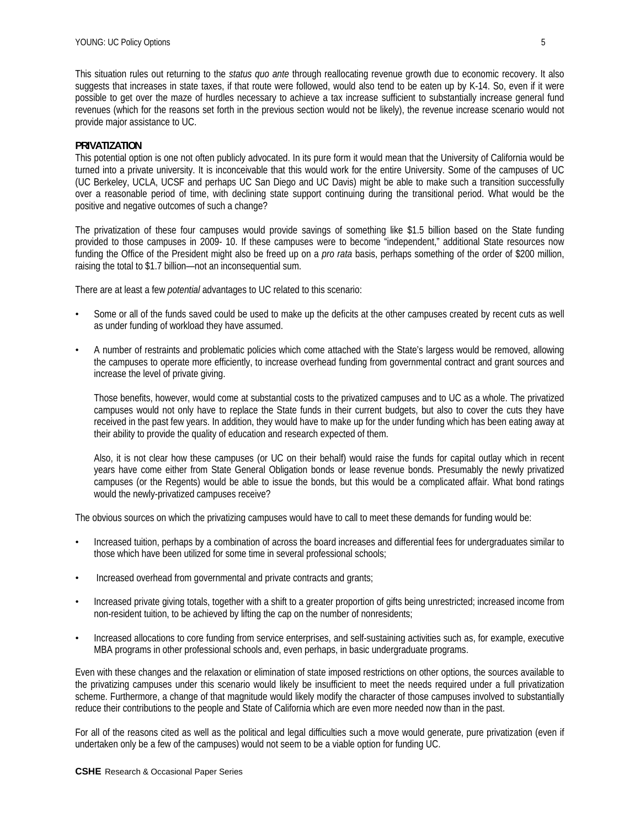This situation rules out returning to the *status quo ante* through reallocating revenue growth due to economic recovery. It also suggests that increases in state taxes, if that route were followed, would also tend to be eaten up by K-14. So, even if it were possible to get over the maze of hurdles necessary to achieve a tax increase sufficient to substantially increase general fund revenues (which for the reasons set forth in the previous section would not be likely), the revenue increase scenario would not provide major assistance to UC.

### **PRIVATIZATION**

This potential option is one not often publicly advocated. In its pure form it would mean that the University of California would be turned into a private university. It is inconceivable that this would work for the entire University. Some of the campuses of UC (UC Berkeley, UCLA, UCSF and perhaps UC San Diego and UC Davis) might be able to make such a transition successfully over a reasonable period of time, with declining state support continuing during the transitional period. What would be the positive and negative outcomes of such a change?

The privatization of these four campuses would provide savings of something like \$1.5 billion based on the State funding provided to those campuses in 2009- 10. If these campuses were to become "independent," additional State resources now funding the Office of the President might also be freed up on a *pro rata* basis, perhaps something of the order of \$200 million, raising the total to \$1.7 billion—not an inconsequential sum.

There are at least a few *potential* advantages to UC related to this scenario:

- Some or all of the funds saved could be used to make up the deficits at the other campuses created by recent cuts as well as under funding of workload they have assumed.
- A number of restraints and problematic policies which come attached with the State's largess would be removed, allowing the campuses to operate more efficiently, to increase overhead funding from governmental contract and grant sources and increase the level of private giving.

Those benefits, however, would come at substantial costs to the privatized campuses and to UC as a whole. The privatized campuses would not only have to replace the State funds in their current budgets, but also to cover the cuts they have received in the past few years. In addition, they would have to make up for the under funding which has been eating away at their ability to provide the quality of education and research expected of them.

Also, it is not clear how these campuses (or UC on their behalf) would raise the funds for capital outlay which in recent years have come either from State General Obligation bonds or lease revenue bonds. Presumably the newly privatized campuses (or the Regents) would be able to issue the bonds, but this would be a complicated affair. What bond ratings would the newly-privatized campuses receive?

The obvious sources on which the privatizing campuses would have to call to meet these demands for funding would be:

- Increased tuition, perhaps by a combination of across the board increases and differential fees for undergraduates similar to those which have been utilized for some time in several professional schools;
- Increased overhead from governmental and private contracts and grants;
- Increased private giving totals, together with a shift to a greater proportion of gifts being unrestricted; increased income from non-resident tuition, to be achieved by lifting the cap on the number of nonresidents;
- Increased allocations to core funding from service enterprises, and self-sustaining activities such as, for example, executive MBA programs in other professional schools and, even perhaps, in basic undergraduate programs.

Even with these changes and the relaxation or elimination of state imposed restrictions on other options, the sources available to the privatizing campuses under this scenario would likely be insufficient to meet the needs required under a full privatization scheme. Furthermore, a change of that magnitude would likely modify the character of those campuses involved to substantially reduce their contributions to the people and State of California which are even more needed now than in the past.

For all of the reasons cited as well as the political and legal difficulties such a move would generate, pure privatization (even if undertaken only be a few of the campuses) would not seem to be a viable option for funding UC.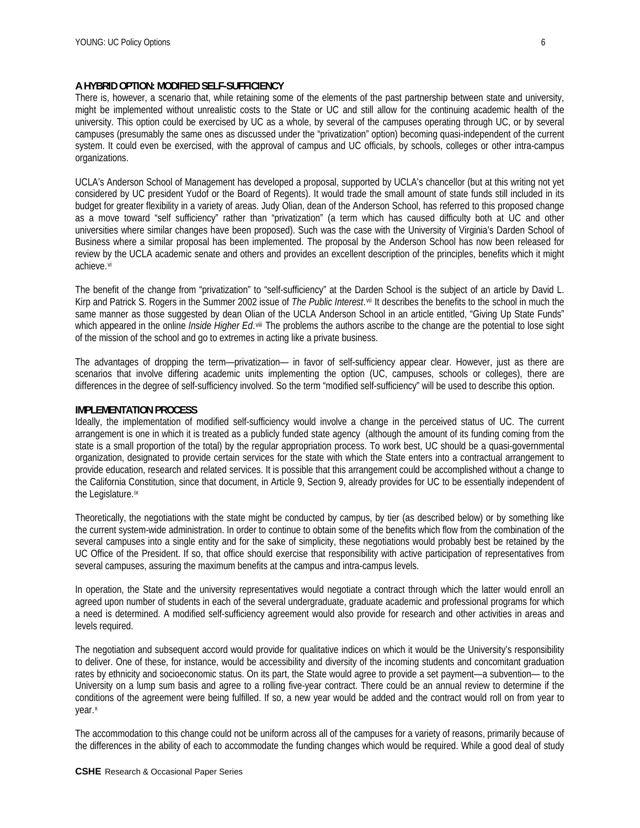### **A HYBRID OPTION: MODIFIED SELF-SUFFICIENCY**

There is, however, a scenario that, while retaining some of the elements of the past partnership between state and university, might be implemented without unrealistic costs to the State or UC and still allow for the continuing academic health of the university. This option could be exercised by UC as a whole, by several of the campuses operating through UC, or by several campuses (presumably the same ones as discussed under the "privatization" option) becoming quasi-independent of the current system. It could even be exercised, with the approval of campus and UC officials, by schools, colleges or other intra-campus organizations.

UCLA's Anderson School of Management has developed a proposal, supported by UCLA's chancellor (but at this writing not yet considered by UC president Yudof or the Board of Regents). It would trade the small amount of state funds still included in its budget for greater flexibility in a variety of areas. Judy Olian, dean of the Anderson School, has referred to this proposed change as a move toward "self sufficiency" rather than "privatization" (a term which has caused difficulty both at UC and other universities where similar changes have been proposed). Such was the case with the University of Virginia's Darden School of Business where a similar proposal has been implemented. The proposal by the Anderson School has now been released for review by the UCLA academic senate and others and provides an excellent description of the principles, benefits which it might achieve.[vi](#page-9-1)

The benefit of the change from "privatization" to "self-sufficiency" at the Darden School is the subject of an article by David L. Kirp and Patrick S. Rogers in the Summer 2002 issue of *The Public Interest*.[vii](#page-9-1) It describes the benefits to the school in much the same manner as those suggested by dean Olian of the UCLA Anderson School in an article entitled, "Giving Up State Funds" which appeared in the online *Inside Higher Ed*.[viii](#page-9-1) The problems the authors ascribe to the change are the potential to lose sight of the mission of the school and go to extremes in acting like a private business.

The advantages of dropping the term—privatization— in favor of self-sufficiency appear clear. However, just as there are scenarios that involve differing academic units implementing the option (UC, campuses, schools or colleges), there are differences in the degree of self-sufficiency involved. So the term "modified self-sufficiency" will be used to describe this option.

### **IMPLEMENTATION PROCESS**

Ideally, the implementation of modified self-sufficiency would involve a change in the perceived status of UC. The current arrangement is one in which it is treated as a publicly funded state agency (although the amount of its funding coming from the state is a small proportion of the total) by the regular appropriation process. To work best, UC should be a quasi-governmental organization, designated to provide certain services for the state with which the State enters into a contractual arrangement to provide education, research and related services. It is possible that this arrangement could be accomplished without a change to the California Constitution, since that document, in Article 9, Section 9, already provides for UC to be essentially independent of the Legislature.[ix](#page-9-1)

Theoretically, the negotiations with the state might be conducted by campus, by tier (as described below) or by something like the current system-wide administration. In order to continue to obtain some of the benefits which flow from the combination of the several campuses into a single entity and for the sake of simplicity, these negotiations would probably best be retained by the UC Office of the President. If so, that office should exercise that responsibility with active participation of representatives from several campuses, assuring the maximum benefits at the campus and intra-campus levels.

In operation, the State and the university representatives would negotiate a contract through which the latter would enroll an agreed upon number of students in each of the several undergraduate, graduate academic and professional programs for which a need is determined. A modified self-sufficiency agreement would also provide for research and other activities in areas and levels required.

The negotiation and subsequent accord would provide for qualitative indices on which it would be the University's responsibility to deliver. One of these, for instance, would be accessibility and diversity of the incoming students and concomitant graduation rates by ethnicity and socioeconomic status. On its part, the State would agree to provide a set payment—a subvention— to the University on a lump sum basis and agree to a rolling five-year contract. There could be an annual review to determine if the conditions of the agreement were being fulfilled. If so, a new year would be added and the contract would roll on from year to year.<sup>[x](#page-9-1)</sup>

The accommodation to this change could not be uniform across all of the campuses for a variety of reasons, primarily because of the differences in the ability of each to accommodate the funding changes which would be required. While a good deal of study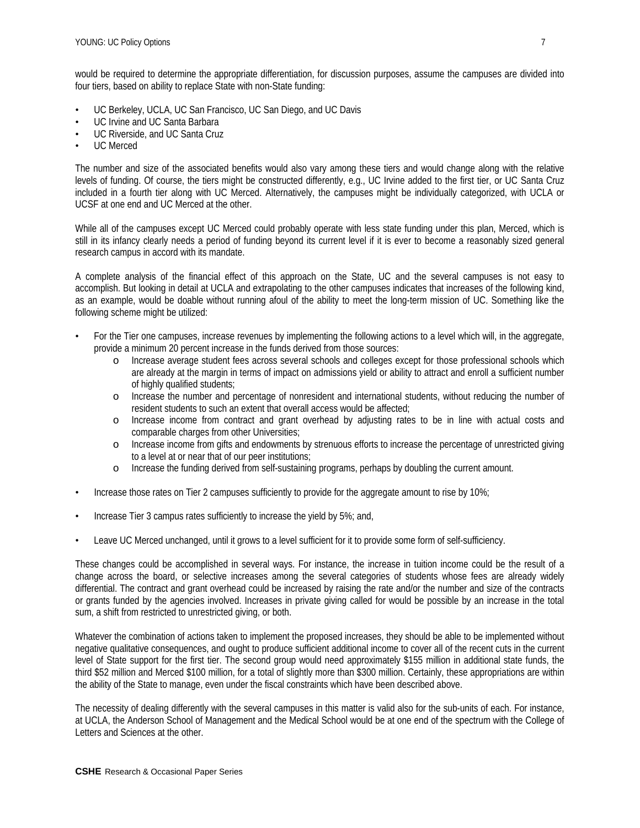would be required to determine the appropriate differentiation, for discussion purposes, assume the campuses are divided into four tiers, based on ability to replace State with non-State funding:

- UC Berkeley, UCLA, UC San Francisco, UC San Diego, and UC Davis
- UC Irvine and UC Santa Barbara
- UC Riverside, and UC Santa Cruz
- UC Merced

The number and size of the associated benefits would also vary among these tiers and would change along with the relative levels of funding. Of course, the tiers might be constructed differently, e.g., UC Irvine added to the first tier, or UC Santa Cruz included in a fourth tier along with UC Merced. Alternatively, the campuses might be individually categorized, with UCLA or UCSF at one end and UC Merced at the other.

While all of the campuses except UC Merced could probably operate with less state funding under this plan, Merced, which is still in its infancy clearly needs a period of funding beyond its current level if it is ever to become a reasonably sized general research campus in accord with its mandate.

A complete analysis of the financial effect of this approach on the State, UC and the several campuses is not easy to accomplish. But looking in detail at UCLA and extrapolating to the other campuses indicates that increases of the following kind, as an example, would be doable without running afoul of the ability to meet the long-term mission of UC. Something like the following scheme might be utilized:

- For the Tier one campuses, increase revenues by implementing the following actions to a level which will, in the aggregate, provide a minimum 20 percent increase in the funds derived from those sources:
	- o Increase average student fees across several schools and colleges except for those professional schools which are already at the margin in terms of impact on admissions yield or ability to attract and enroll a sufficient number of highly qualified students;
	- o Increase the number and percentage of nonresident and international students, without reducing the number of resident students to such an extent that overall access would be affected;
	- o Increase income from contract and grant overhead by adjusting rates to be in line with actual costs and comparable charges from other Universities;
	- o Increase income from gifts and endowments by strenuous efforts to increase the percentage of unrestricted giving to a level at or near that of our peer institutions;
	- o Increase the funding derived from self-sustaining programs, perhaps by doubling the current amount.
- Increase those rates on Tier 2 campuses sufficiently to provide for the aggregate amount to rise by 10%;
- Increase Tier 3 campus rates sufficiently to increase the yield by 5%; and,
- Leave UC Merced unchanged, until it grows to a level sufficient for it to provide some form of self-sufficiency.

These changes could be accomplished in several ways. For instance, the increase in tuition income could be the result of a change across the board, or selective increases among the several categories of students whose fees are already widely differential. The contract and grant overhead could be increased by raising the rate and/or the number and size of the contracts or grants funded by the agencies involved. Increases in private giving called for would be possible by an increase in the total sum, a shift from restricted to unrestricted giving, or both.

Whatever the combination of actions taken to implement the proposed increases, they should be able to be implemented without negative qualitative consequences, and ought to produce sufficient additional income to cover all of the recent cuts in the current level of State support for the first tier. The second group would need approximately \$155 million in additional state funds, the third \$52 million and Merced \$100 million, for a total of slightly more than \$300 million. Certainly, these appropriations are within the ability of the State to manage, even under the fiscal constraints which have been described above.

The necessity of dealing differently with the several campuses in this matter is valid also for the sub-units of each. For instance, at UCLA, the Anderson School of Management and the Medical School would be at one end of the spectrum with the College of Letters and Sciences at the other.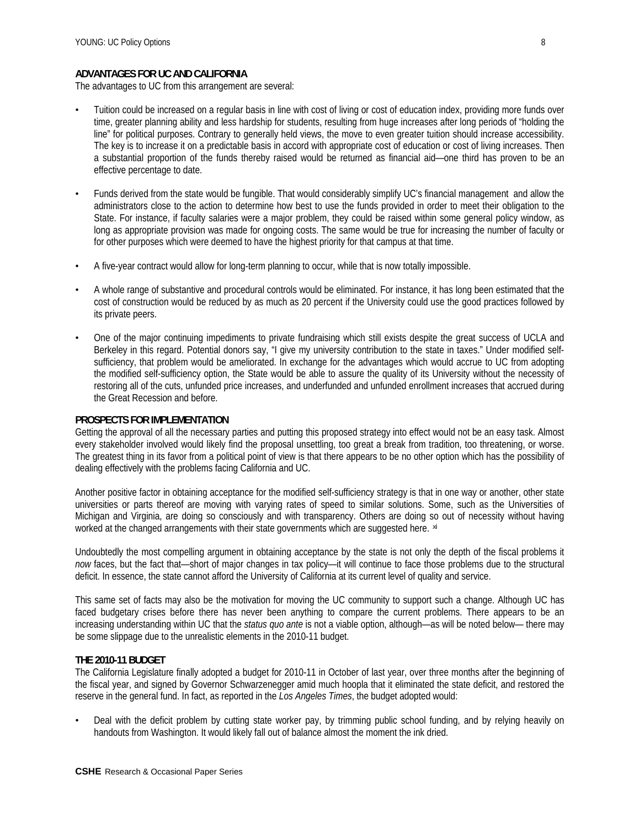### **ADVANTAGES FOR UC AND CALIFORNIA**

The advantages to UC from this arrangement are several:

- Tuition could be increased on a regular basis in line with cost of living or cost of education index, providing more funds over time, greater planning ability and less hardship for students, resulting from huge increases after long periods of "holding the line" for political purposes. Contrary to generally held views, the move to even greater tuition should increase accessibility. The key is to increase it on a predictable basis in accord with appropriate cost of education or cost of living increases. Then a substantial proportion of the funds thereby raised would be returned as financial aid—one third has proven to be an effective percentage to date.
- Funds derived from the state would be fungible. That would considerably simplify UC's financial management and allow the administrators close to the action to determine how best to use the funds provided in order to meet their obligation to the State. For instance, if faculty salaries were a major problem, they could be raised within some general policy window, as long as appropriate provision was made for ongoing costs. The same would be true for increasing the number of faculty or for other purposes which were deemed to have the highest priority for that campus at that time.
- A five-year contract would allow for long-term planning to occur, while that is now totally impossible.
- A whole range of substantive and procedural controls would be eliminated. For instance, it has long been estimated that the cost of construction would be reduced by as much as 20 percent if the University could use the good practices followed by its private peers.
- One of the major continuing impediments to private fundraising which still exists despite the great success of UCLA and Berkeley in this regard. Potential donors say, "I give my university contribution to the state in taxes." Under modified selfsufficiency, that problem would be ameliorated. In exchange for the advantages which would accrue to UC from adopting the modified self-sufficiency option, the State would be able to assure the quality of its University without the necessity of restoring all of the cuts, unfunded price increases, and underfunded and unfunded enrollment increases that accrued during the Great Recession and before.

#### **PROSPECTS FOR IMPLEMENTATION**

Getting the approval of all the necessary parties and putting this proposed strategy into effect would not be an easy task. Almost every stakeholder involved would likely find the proposal unsettling, too great a break from tradition, too threatening, or worse. The greatest thing in its favor from a political point of view is that there appears to be no other option which has the possibility of dealing effectively with the problems facing California and UC.

Another positive factor in obtaining acceptance for the modified self-sufficiency strategy is that in one way or another, other state universities or parts thereof are moving with varying rates of speed to similar solutions. Some, such as the Universities of Michigan and Virginia, are doing so consciously and with transparency. Others are doing so out of necessity without having worked at the changed arrangements with their state governments which are suggested here. **[xi](#page-9-1)**

Undoubtedly the most compelling argument in obtaining acceptance by the state is not only the depth of the fiscal problems it *now* faces, but the fact that—short of major changes in tax policy—it will continue to face those problems due to the structural deficit. In essence, the state cannot afford the University of California at its current level of quality and service.

This same set of facts may also be the motivation for moving the UC community to support such a change. Although UC has faced budgetary crises before there has never been anything to compare the current problems. There appears to be an increasing understanding within UC that the *status quo ante* is not a viable option, although—as will be noted below— there may be some slippage due to the unrealistic elements in the 2010-11 budget.

#### **THE 2010-11 BUDGET**

The California Legislature finally adopted a budget for 2010-11 in October of last year, over three months after the beginning of the fiscal year, and signed by Governor Schwarzenegger amid much hoopla that it eliminated the state deficit, and restored the reserve in the general fund. In fact, as reported in the *Los Angeles Times*, the budget adopted would:

• Deal with the deficit problem by cutting state worker pay, by trimming public school funding, and by relying heavily on handouts from Washington. It would likely fall out of balance almost the moment the ink dried.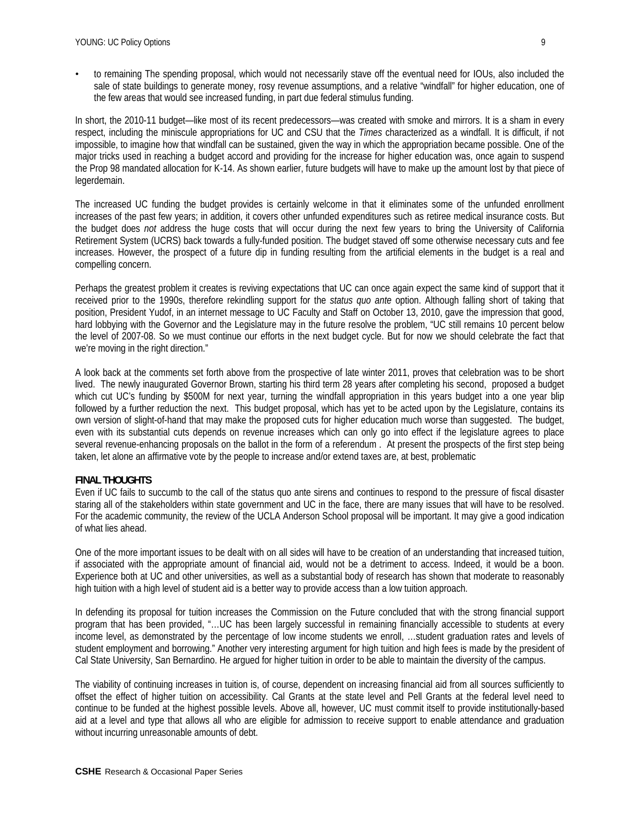• to remaining The spending proposal, which would not necessarily stave off the eventual need for IOUs, also included the sale of state buildings to generate money, rosy revenue assumptions, and a relative "windfall" for higher education, one of the few areas that would see increased funding, in part due federal stimulus funding.

In short, the 2010-11 budget—like most of its recent predecessors—was created with smoke and mirrors. It is a sham in every respect, including the miniscule appropriations for UC and CSU that the *Times* characterized as a windfall. It is difficult, if not impossible, to imagine how that windfall can be sustained, given the way in which the appropriation became possible. One of the major tricks used in reaching a budget accord and providing for the increase for higher education was, once again to suspend the Prop 98 mandated allocation for K-14. As shown earlier, future budgets will have to make up the amount lost by that piece of legerdemain.

The increased UC funding the budget provides is certainly welcome in that it eliminates some of the unfunded enrollment increases of the past few years; in addition, it covers other unfunded expenditures such as retiree medical insurance costs. But the budget does *not* address the huge costs that will occur during the next few years to bring the University of California Retirement System (UCRS) back towards a fully-funded position. The budget staved off some otherwise necessary cuts and fee increases. However, the prospect of a future dip in funding resulting from the artificial elements in the budget is a real and compelling concern.

Perhaps the greatest problem it creates is reviving expectations that UC can once again expect the same kind of support that it received prior to the 1990s, therefore rekindling support for the *status quo ante* option. Although falling short of taking that position, President Yudof, in an internet message to UC Faculty and Staff on October 13, 2010, gave the impression that good, hard lobbying with the Governor and the Legislature may in the future resolve the problem, "UC still remains 10 percent below the level of 2007-08. So we must continue our efforts in the next budget cycle. But for now we should celebrate the fact that we're moving in the right direction."

A look back at the comments set forth above from the prospective of late winter 2011, proves that celebration was to be short lived. The newly inaugurated Governor Brown, starting his third term 28 years after completing his second, proposed a budget which cut UC's funding by \$500M for next year, turning the windfall appropriation in this years budget into a one year blip followed by a further reduction the next. This budget proposal, which has yet to be acted upon by the Legislature, contains its own version of slight-of-hand that may make the proposed cuts for higher education much worse than suggested. The budget, even with its substantial cuts depends on revenue increases which can only go into effect if the legislature agrees to place several revenue-enhancing proposals on the ballot in the form of a referendum . At present the prospects of the first step being taken, let alone an affirmative vote by the people to increase and/or extend taxes are, at best, problematic

# **FINAL THOUGHTS**

Even if UC fails to succumb to the call of the status quo ante sirens and continues to respond to the pressure of fiscal disaster staring all of the stakeholders within state government and UC in the face, there are many issues that will have to be resolved. For the academic community, the review of the UCLA Anderson School proposal will be important. It may give a good indication of what lies ahead.

One of the more important issues to be dealt with on all sides will have to be creation of an understanding that increased tuition, if associated with the appropriate amount of financial aid, would not be a detriment to access. Indeed, it would be a boon. Experience both at UC and other universities, as well as a substantial body of research has shown that moderate to reasonably high tuition with a high level of student aid is a better way to provide access than a low tuition approach.

In defending its proposal for tuition increases the Commission on the Future concluded that with the strong financial support program that has been provided, "…UC has been largely successful in remaining financially accessible to students at every income level, as demonstrated by the percentage of low income students we enroll, …student graduation rates and levels of student employment and borrowing." Another very interesting argument for high tuition and high fees is made by the president of Cal State University, San Bernardino. He argued for higher tuition in order to be able to maintain the diversity of the campus.

The viability of continuing increases in tuition is, of course, dependent on increasing financial aid from all sources sufficiently to offset the effect of higher tuition on accessibility. Cal Grants at the state level and Pell Grants at the federal level need to continue to be funded at the highest possible levels. Above all, however, UC must commit itself to provide institutionally-based aid at a level and type that allows all who are eligible for admission to receive support to enable attendance and graduation without incurring unreasonable amounts of debt.